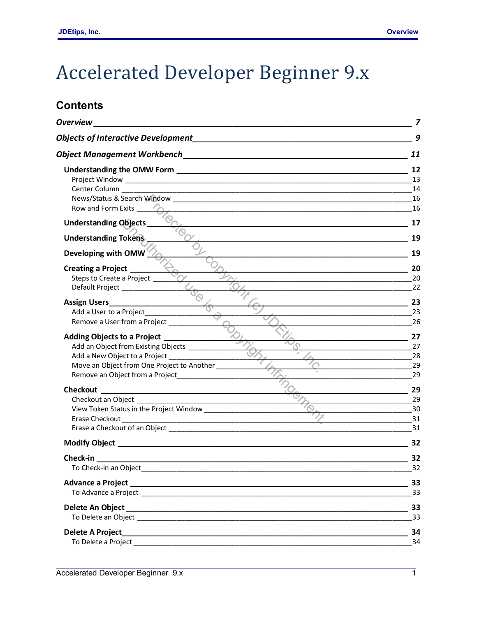## **Accelerated Developer Beginner 9.x**

## **Contents**

| <b>Overview</b>                                                                                                                  |                      |
|----------------------------------------------------------------------------------------------------------------------------------|----------------------|
|                                                                                                                                  | 9                    |
|                                                                                                                                  | 11                   |
|                                                                                                                                  | 12<br>13<br>14<br>16 |
| <u> 1989 - Johann Stoff, deutscher Stoff, der Stoff, der Stoff, der Stoff, der Stoff, der Stoff, der Stoff, der S</u>            | 16                   |
| <b>Understanding Objects</b> _                                                                                                   | 17                   |
| <b>Understanding Tokens</b>                                                                                                      | 19                   |
| Developing with OMW                                                                                                              | 19                   |
| <b>Creating a Project</b>                                                                                                        | 20                   |
| Steps to Create a Project<br>Default Project _______________                                                                     | 20<br>22             |
|                                                                                                                                  | 23                   |
| Add a User to a Project_________                                                                                                 | 23                   |
| Remove a User from a Project ________                                                                                            | 26                   |
| <b>Adding Objects to a Project</b>                                                                                               | 27                   |
| Add an Object from Existing Objects ____________                                                                                 | 27                   |
| Add a New Object to a Project ____________________                                                                               | 28                   |
| Move an Object from One Project to Another                                                                                       | 29<br>29             |
|                                                                                                                                  |                      |
|                                                                                                                                  | 29                   |
| View Token Status in the Project Window _______________________                                                                  | 29<br>30             |
| Erase Checkout                                                                                                                   | 31                   |
|                                                                                                                                  | 31                   |
| Modify Object No. 2008 and 2008 and 2008 and 2008 and 2008 and 2008 and 2008 and 2008 and 2008 and 2008 and 20                   | 32                   |
| Check-in<br><u> 1989 - Johann John Stone, mars eta bat eta bat eta bat eta bat eta bat eta bat eta bat eta bat eta bat eta b</u> | 32                   |
| To Check-in an Object                                                                                                            | 32                   |
|                                                                                                                                  | 33                   |
|                                                                                                                                  | 33                   |
|                                                                                                                                  | 33                   |
|                                                                                                                                  | 33                   |
| Delete A Project_                                                                                                                | 34                   |
|                                                                                                                                  | 34                   |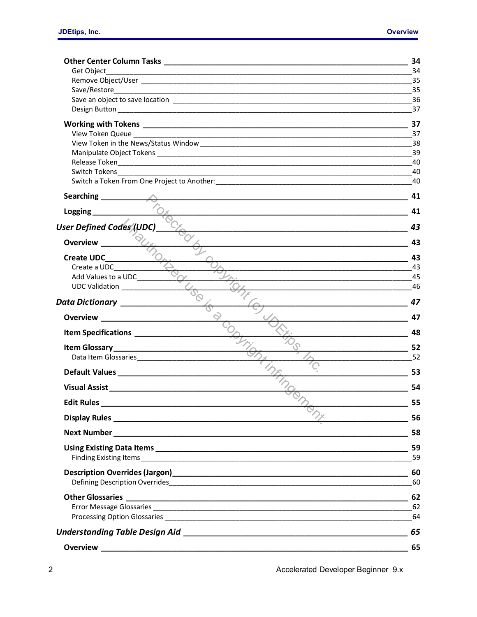|                                 | 34        |
|---------------------------------|-----------|
| Get Object                      | 34        |
|                                 | 35        |
|                                 | 35        |
|                                 | 36        |
|                                 |           |
|                                 | 37        |
|                                 | 37        |
|                                 |           |
|                                 | 39        |
|                                 | 40        |
|                                 | 40        |
|                                 | 41        |
| Logging <b>Landally</b>         | 41        |
| <b>User Defined Codes (UDC)</b> | 43        |
| <b>Overview</b>                 | 43        |
| <b>Create UDC</b>               | 43        |
| Create a UDC                    | -43       |
| Add Values to a UDC             | - 45      |
| UDC Validation                  | 46        |
| Data Dictionary ___________     | 47        |
|                                 | 47        |
|                                 | 48        |
|                                 | 52        |
|                                 |           |
|                                 | 53        |
|                                 | 54        |
| <b>Edit Rules</b>               | 55        |
|                                 | $\sim$ 56 |
|                                 | 58        |
| Finding Existing Items          | 59<br>59  |
|                                 | 60        |
|                                 | -60       |
|                                 | 62        |
|                                 |           |
|                                 |           |
|                                 | 65        |
|                                 | 65        |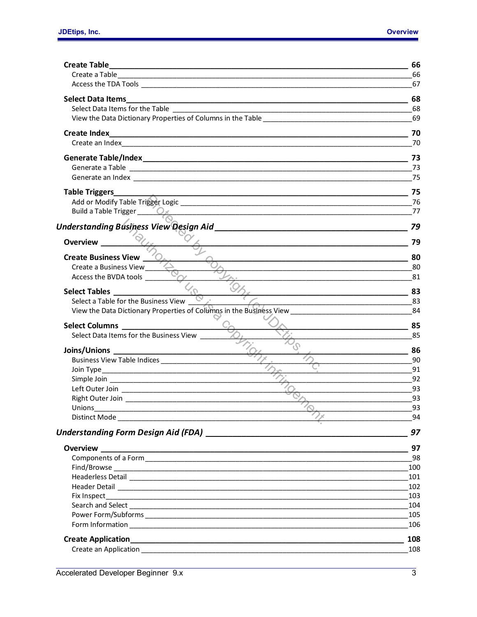| <b>Select Data Items</b><br><u> 1999 - Jan James James Jan James James James James James James James James James James James James James Ja</u><br><b>Table Triggers</b><br>Build a Table Trigger 20x<br><b>Overview</b><br><b>Create Business View</b><br>Create a Business View<br>Access the BVDA tools<br>Select a Table for the Business View $\overline{\mathbb{C}}$<br>View the Data Dictionary Properties of Columns in the Business View _________________________________84<br>Select Data Items for the Business View<br>86<br>90<br>41 91<br>$\overline{\phantom{a}92}$<br><b>Unions</b><br>Overview | 66                          |
|------------------------------------------------------------------------------------------------------------------------------------------------------------------------------------------------------------------------------------------------------------------------------------------------------------------------------------------------------------------------------------------------------------------------------------------------------------------------------------------------------------------------------------------------------------------------------------------------------------------|-----------------------------|
|                                                                                                                                                                                                                                                                                                                                                                                                                                                                                                                                                                                                                  | 66                          |
|                                                                                                                                                                                                                                                                                                                                                                                                                                                                                                                                                                                                                  | 67                          |
|                                                                                                                                                                                                                                                                                                                                                                                                                                                                                                                                                                                                                  | 68                          |
|                                                                                                                                                                                                                                                                                                                                                                                                                                                                                                                                                                                                                  | 68                          |
|                                                                                                                                                                                                                                                                                                                                                                                                                                                                                                                                                                                                                  | 69                          |
|                                                                                                                                                                                                                                                                                                                                                                                                                                                                                                                                                                                                                  | 70                          |
|                                                                                                                                                                                                                                                                                                                                                                                                                                                                                                                                                                                                                  | 70                          |
|                                                                                                                                                                                                                                                                                                                                                                                                                                                                                                                                                                                                                  | $\overline{\phantom{0}}$ 73 |
|                                                                                                                                                                                                                                                                                                                                                                                                                                                                                                                                                                                                                  | 73                          |
|                                                                                                                                                                                                                                                                                                                                                                                                                                                                                                                                                                                                                  |                             |
|                                                                                                                                                                                                                                                                                                                                                                                                                                                                                                                                                                                                                  |                             |
|                                                                                                                                                                                                                                                                                                                                                                                                                                                                                                                                                                                                                  |                             |
|                                                                                                                                                                                                                                                                                                                                                                                                                                                                                                                                                                                                                  |                             |
|                                                                                                                                                                                                                                                                                                                                                                                                                                                                                                                                                                                                                  | 79                          |
|                                                                                                                                                                                                                                                                                                                                                                                                                                                                                                                                                                                                                  | 79                          |
|                                                                                                                                                                                                                                                                                                                                                                                                                                                                                                                                                                                                                  | 80                          |
|                                                                                                                                                                                                                                                                                                                                                                                                                                                                                                                                                                                                                  |                             |
|                                                                                                                                                                                                                                                                                                                                                                                                                                                                                                                                                                                                                  |                             |
|                                                                                                                                                                                                                                                                                                                                                                                                                                                                                                                                                                                                                  |                             |
|                                                                                                                                                                                                                                                                                                                                                                                                                                                                                                                                                                                                                  |                             |
|                                                                                                                                                                                                                                                                                                                                                                                                                                                                                                                                                                                                                  |                             |
|                                                                                                                                                                                                                                                                                                                                                                                                                                                                                                                                                                                                                  | 85                          |
|                                                                                                                                                                                                                                                                                                                                                                                                                                                                                                                                                                                                                  | 85                          |
|                                                                                                                                                                                                                                                                                                                                                                                                                                                                                                                                                                                                                  |                             |
|                                                                                                                                                                                                                                                                                                                                                                                                                                                                                                                                                                                                                  |                             |
|                                                                                                                                                                                                                                                                                                                                                                                                                                                                                                                                                                                                                  |                             |
|                                                                                                                                                                                                                                                                                                                                                                                                                                                                                                                                                                                                                  |                             |
|                                                                                                                                                                                                                                                                                                                                                                                                                                                                                                                                                                                                                  |                             |
|                                                                                                                                                                                                                                                                                                                                                                                                                                                                                                                                                                                                                  | 93                          |
|                                                                                                                                                                                                                                                                                                                                                                                                                                                                                                                                                                                                                  | 93                          |
|                                                                                                                                                                                                                                                                                                                                                                                                                                                                                                                                                                                                                  | 94                          |
|                                                                                                                                                                                                                                                                                                                                                                                                                                                                                                                                                                                                                  | 97                          |
|                                                                                                                                                                                                                                                                                                                                                                                                                                                                                                                                                                                                                  | 97                          |
|                                                                                                                                                                                                                                                                                                                                                                                                                                                                                                                                                                                                                  | 98                          |
|                                                                                                                                                                                                                                                                                                                                                                                                                                                                                                                                                                                                                  | 100                         |
|                                                                                                                                                                                                                                                                                                                                                                                                                                                                                                                                                                                                                  | 101                         |
|                                                                                                                                                                                                                                                                                                                                                                                                                                                                                                                                                                                                                  | 102                         |
|                                                                                                                                                                                                                                                                                                                                                                                                                                                                                                                                                                                                                  | 103                         |
|                                                                                                                                                                                                                                                                                                                                                                                                                                                                                                                                                                                                                  | 104                         |
|                                                                                                                                                                                                                                                                                                                                                                                                                                                                                                                                                                                                                  | 105                         |
|                                                                                                                                                                                                                                                                                                                                                                                                                                                                                                                                                                                                                  | 106                         |
|                                                                                                                                                                                                                                                                                                                                                                                                                                                                                                                                                                                                                  | 108                         |
|                                                                                                                                                                                                                                                                                                                                                                                                                                                                                                                                                                                                                  | 108                         |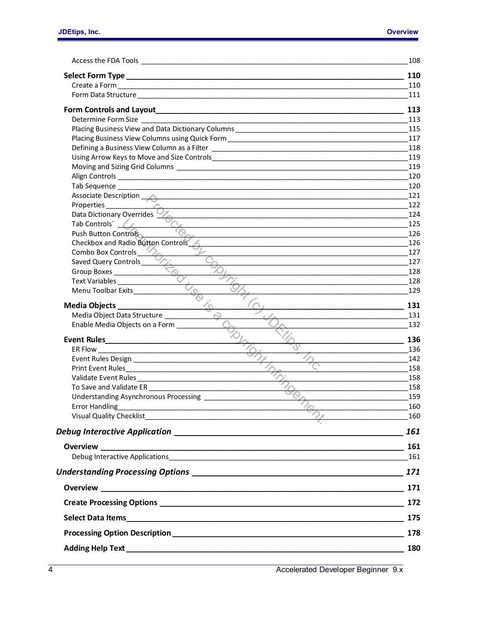|                                                                                                                                                                                                                                      | 108        |
|--------------------------------------------------------------------------------------------------------------------------------------------------------------------------------------------------------------------------------------|------------|
|                                                                                                                                                                                                                                      | 110        |
|                                                                                                                                                                                                                                      | 110        |
|                                                                                                                                                                                                                                      | 111        |
|                                                                                                                                                                                                                                      | 113        |
|                                                                                                                                                                                                                                      | 113        |
|                                                                                                                                                                                                                                      | 115        |
|                                                                                                                                                                                                                                      | 117        |
|                                                                                                                                                                                                                                      | 118        |
|                                                                                                                                                                                                                                      | 119        |
|                                                                                                                                                                                                                                      | 119        |
|                                                                                                                                                                                                                                      | 120        |
|                                                                                                                                                                                                                                      | 120        |
| Associate Description<br><u> 1980 - Johann Barn, fransk politik (* 1950)</u>                                                                                                                                                         | 121        |
|                                                                                                                                                                                                                                      | 122        |
| Data Dictionary Overrides                                                                                                                                                                                                            | 124        |
| Tab Controls` (                                                                                                                                                                                                                      | 125        |
| Push Button Controls                                                                                                                                                                                                                 | 126        |
| Checkbox and Radio Button Controls                                                                                                                                                                                                   | 126        |
| Combo Box Controls                                                                                                                                                                                                                   | 127        |
| Saved Query Controls                                                                                                                                                                                                                 | 127        |
| Group Boxes                                                                                                                                                                                                                          | 128        |
| Text Variables<br>Menu Toolbar Exits                                                                                                                                                                                                 | 128<br>129 |
|                                                                                                                                                                                                                                      |            |
| Media Objects _________________                                                                                                                                                                                                      | 131        |
| Media Object Data Structure _______                                                                                                                                                                                                  | 131        |
| Enable Media Objects on a Form                                                                                                                                                                                                       | 132        |
|                                                                                                                                                                                                                                      | 136        |
|                                                                                                                                                                                                                                      | 136        |
|                                                                                                                                                                                                                                      | 142        |
|                                                                                                                                                                                                                                      | 158        |
|                                                                                                                                                                                                                                      | 158        |
| To Save and Validate ER and Save and Validate ER                                                                                                                                                                                     | 158        |
| Understanding Asynchronous Processing ____________                                                                                                                                                                                   | 159        |
|                                                                                                                                                                                                                                      | 160        |
| Error Handling $\frac{1}{\sqrt{2\pi}}$                                                                                                                                                                                               | 160        |
|                                                                                                                                                                                                                                      |            |
| <b>Overview</b>                                                                                                                                                                                                                      |            |
|                                                                                                                                                                                                                                      | 161        |
|                                                                                                                                                                                                                                      |            |
|                                                                                                                                                                                                                                      |            |
|                                                                                                                                                                                                                                      |            |
|                                                                                                                                                                                                                                      | 175        |
| Processing Option Description <b>Executive Contract Contract Contract Contract Contract Contract Control Contract Contract Contract Contract Contract Contract Contract Contract Contract Contract Contract Contract Contract Co</b> | 178        |
|                                                                                                                                                                                                                                      | 180        |
|                                                                                                                                                                                                                                      |            |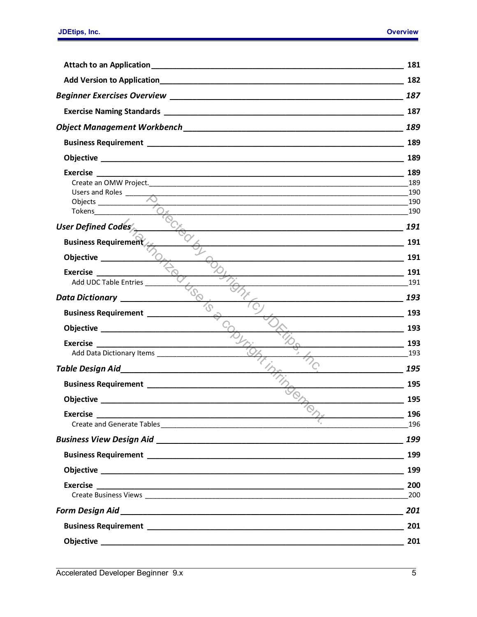| Attach to an Application                                                                                                                  | 181                             |
|-------------------------------------------------------------------------------------------------------------------------------------------|---------------------------------|
|                                                                                                                                           | 182                             |
|                                                                                                                                           | 187                             |
|                                                                                                                                           | 187                             |
|                                                                                                                                           | 189                             |
|                                                                                                                                           | 189                             |
|                                                                                                                                           | 189                             |
| Exercise<br>Users and Roles _____<br>Objects _____________<br>$\frac{1}{\sqrt{a^{2}+b^{2}}}$                                              | 189<br>189<br>190<br>190<br>190 |
| User Defined Codes                                                                                                                        | 191                             |
| <b>Business Requirement</b>                                                                                                               | 191                             |
| Objective _______                                                                                                                         | 191                             |
| Exercise<br>Add UDC Table Entries                                                                                                         | 191<br>191                      |
| Data Dictionary ____________                                                                                                              | 193                             |
| <b>Business Requirement</b> ____________                                                                                                  | 193                             |
|                                                                                                                                           | 193                             |
| Exercise                                                                                                                                  | 193                             |
| Add Data Dictionary Items ________________                                                                                                | 193                             |
| Table Design Aid Manuel Alexander Manuel Andrew Manuel Alexander Manuel Alexander Manuel Alexander Manuel Alex                            | 195                             |
|                                                                                                                                           | 195                             |
| Objective and the contract of the contract of the contract of the contract of the contract of the contract of                             | 195                             |
| <b>Exercise</b><br><u> 1980 - Johann John Harry Harry Harry Harry Harry Harry Harry Harry Harry Harry Harry Harry Harry Harry Harry H</u> | 196<br>196                      |
|                                                                                                                                           | 199                             |
|                                                                                                                                           | 199                             |
|                                                                                                                                           | 199                             |
|                                                                                                                                           | 200                             |
|                                                                                                                                           | 200                             |
|                                                                                                                                           | 201                             |
|                                                                                                                                           | 201                             |
|                                                                                                                                           | 201                             |